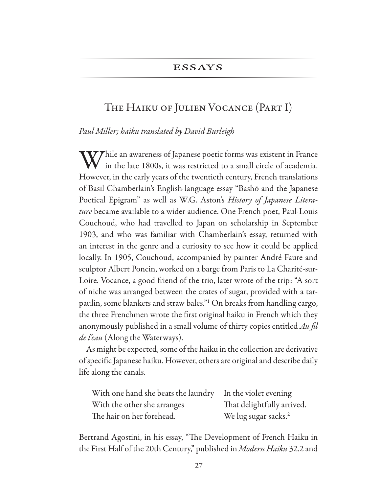### **ESSAYS**

### The Haiku of Julien Vocance (Part I)

*Paul Miller; haiku translated by David Burleigh*

While an awareness of Japanese poetic forms was existent in France in the late 1800s, it was restricted to a small circle of academia. However, in the early years of the twentieth century, French translations of Basil Chamberlain's English-language essay "Bashō and the Japanese Poetical Epigram" as well as W.G. Aston's *History of Japanese Litera*ture became available to a wider audience. One French poet, Paul-Louis Couchoud, who had travelled to Japan on scholarship in September 1903, and who was familiar with Chamberlain's essay, returned with an interest in the genre and a curiosity to see how it could be applied locally. In 1905, Couchoud, accompanied by painter André Faure and sculptor Albert Poncin, worked on a barge from Paris to La Charité-sur-Loire. Vocance, a good friend of the trio, later wrote of the trip: "A sort of niche was arranged between the crates of sugar, provided with a tarpaulin, some blankets and straw bales."<sup>1</sup> On breaks from handling cargo, the three Frenchmen wrote the frst original haiku in French which they anonymously published in a small volume of thirty copies entitled *Au* f*l de l'eau* (Along the Waterways).

As might be expected, some of the haiku in the collection are derivative of specifc Japanese haiku. However, others are original and describe daily life along the canals.

| With one hand she beats the laundry In the violet evening |                                  |
|-----------------------------------------------------------|----------------------------------|
| With the other she arranges                               | That delightfully arrived.       |
| The hair on her forehead.                                 | We lug sugar sacks. <sup>2</sup> |

Bertrand Agostini, in his essay, "The Development of French Haiku in the First Half of the 20th Century," published in *Modern Haiku* 32.2 and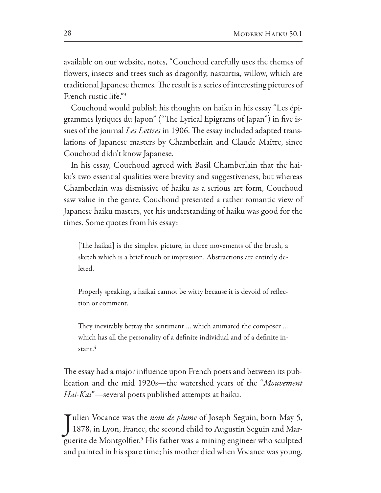available on our website, notes, "Couchoud carefully uses the themes of fowers, insects and trees such as dragonfy, nasturtia, willow, which are traditional Japanese themes. The result is a series of interesting pictures of French rustic life."3

Couchoud would publish his thoughts on haiku in his essay "Les épigrammes lyriques du Japon" ("The Lyrical Epigrams of Japan") in five issues of the journal *Les Lettres* in 1906. The essay included adapted translations of Japanese masters by Chamberlain and Claude Maītre, since Couchoud didn't know Japanese.

In his essay, Couchoud agreed with Basil Chamberlain that the haiku's two essential qualities were brevity and suggestiveness, but whereas Chamberlain was dismissive of haiku as a serious art form, Couchoud saw value in the genre. Couchoud presented a rather romantic view of Japanese haiku masters, yet his understanding of haiku was good for the times. Some quotes from his essay:

[The haikai] is the simplest picture, in three movements of the brush, a sketch which is a brief touch or impression. Abstractions are entirely deleted.

Properly speaking, a haikai cannot be witty because it is devoid of refection or comment.

They inevitably betray the sentiment ... which animated the composer ... which has all the personality of a definite individual and of a definite instant.<sup>4</sup>

The essay had a major influence upon French poets and between its publication and the mid 1920s—the watershed years of the "*Mouvement Hai-Kai*"—several poets published attempts at haiku.

Julien Vocance was the *nom de plume* of Joseph Seguin, born May 5,<br>1878, in Lyon, France, the second child to Augustin Seguin and Marulien Vocance was the *nom de plume* of Joseph Seguin, born May 5, guerite de Montgolfer.5 His father was a mining engineer who sculpted and painted in his spare time; his mother died when Vocance was young.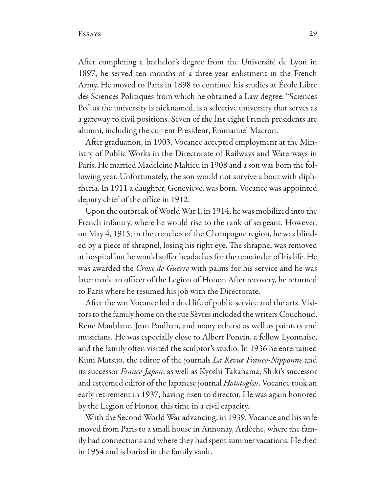Afer completing a bachelor's degree from the Université de Lyon in 1897, he served ten months of a three-year enlistment in the French Army. He moved to Paris in 1898 to continue his studies at École Libre des Sciences Politiques from which he obtained a Law degree. "Sciences Po," as the university is nicknamed, is a selective university that serves as a gateway to civil positions. Seven of the last eight French presidents are alumni, including the current President, Emmanuel Macron.

Afer graduation, in 1903, Vocance accepted employment at the Ministry of Public Works in the Directorate of Railways and Waterways in Paris. He married Madeleine Mahieu in 1908 and a son was born the following year. Unfortunately, the son would not survive a bout with diphtheria. In 1911 a daughter, Genevieve, was born. Vocance was appointed deputy chief of the office in 1912.

Upon the outbreak of World War I, in 1914, he was mobilized into the French infantry, where he would rise to the rank of sergeant. However, on May 4, 1915, in the trenches of the Champagne region, he was blinded by a piece of shrapnel, losing his right eye. The shrapnel was removed at hospital but he would sufer headaches for the remainder of his life. He was awarded the *Croix de Guerre* with palms for his service and he was later made an officer of the Legion of Honor. After recovery, he returned to Paris where he resumed his job with the Directorate.

Afer the war Vocance led a duel life of public service and the arts. Visitors to the family home on the rue Sèvres included the writers Couchoud, René Maublanc, Jean Paulhan, and many others; as well as painters and musicians. He was especially close to Albert Poncin, a fellow Lyonnaise, and the family often visited the sculptor's studio. In 1936 he entertained Kuni Matsuo, the editor of the journals *La Revue Franco-Nipponne* and its successor *France-Japon*, as well as Kyoshi Takahama, Shiki's successor and esteemed editor of the Japanese journal *Hototogisu*. Vocance took an early retirement in 1937, having risen to director. He was again honored by the Legion of Honor, this time in a civil capacity.

With the Second World War advancing, in 1939, Vocance and his wife moved from Paris to a small house in Annonay, Ardèche, where the family had connections and where they had spent summer vacations. He died in 1954 and is buried in the family vault.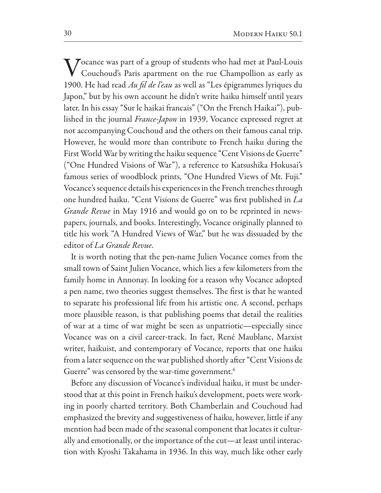**T** *T* ocance was part of a group of students who had met at Paul-Louis Couchoud's Paris apartment on the rue Champollion as early as 1900. He had read *Au* f*l de l'eau* as well as "Les épigrammes lyriques du Japon," but by his own account he didn't write haiku himself until years later. In his essay "Sur le haikai francais" ("On the French Haikai"), published in the journal *France-Japon* in 1939, Vocance expressed regret at not accompanying Couchoud and the others on their famous canal trip. However, he would more than contribute to French haiku during the First World War by writing the haiku sequence "Cent Visions de Guerre" ("One Hundred Visions of War"), a reference to Katsushika Hokusai's famous series of woodblock prints, "One Hundred Views of Mt. Fuji." Vocance's sequence details his experiences in the French trenches through one hundred haiku. "Cent Visions de Guerre" was frst published in *La Grande Revue* in May 1916 and would go on to be reprinted in newspapers, journals, and books. Interestingly, Vocance originally planned to title his work "A Hundred Views of War," but he was dissuaded by the editor of *La Grande Revue*.

It is worth noting that the pen-name Julien Vocance comes from the small town of Saint Julien Vocance, which lies a few kilometers from the family home in Annonay. In looking for a reason why Vocance adopted a pen name, two theories suggest themselves. The first is that he wanted to separate his professional life from his artistic one. A second, perhaps more plausible reason, is that publishing poems that detail the realities of war at a time of war might be seen as unpatriotic—especially since Vocance was on a civil career-track. In fact, René Maublanc, Marxist writer, haikuist, and contemporary of Vocance, reports that one haiku from a later sequence on the war published shortly after "Cent Visions de Guerre" was censored by the war-time government.<sup>6</sup>

Before any discussion of Vocance's individual haiku, it must be understood that at this point in French haiku's development, poets were working in poorly charted territory. Both Chamberlain and Couchoud had emphasized the brevity and suggestiveness of haiku, however, little if any mention had been made of the seasonal component that locates it culturally and emotionally, or the importance of the cut—at least until interaction with Kyoshi Takahama in 1936. In this way, much like other early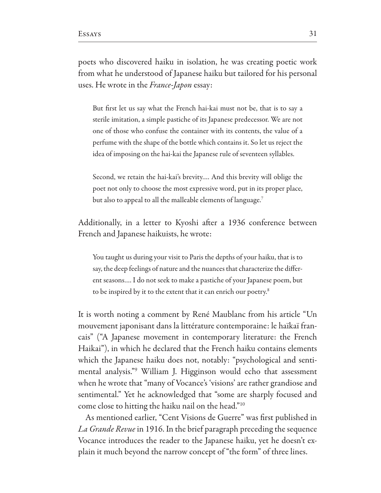poets who discovered haiku in isolation, he was creating poetic work from what he understood of Japanese haiku but tailored for his personal uses. He wrote in the *France-Japon* essay:

But frst let us say what the French hai-kai must not be, that is to say a sterile imitation, a simple pastiche of its Japanese predecessor. We are not one of those who confuse the container with its contents, the value of a perfume with the shape of the bottle which contains it. So let us reject the idea of imposing on the hai-kai the Japanese rule of seventeen syllables.

Second, we retain the hai-kai's brevity…. And this brevity will oblige the poet not only to choose the most expressive word, put in its proper place, but also to appeal to all the malleable elements of language.<sup>7</sup>

Additionally, in a letter to Kyoshi after a 1936 conference between French and Japanese haikuists, he wrote:

You taught us during your visit to Paris the depths of your haiku, that is to say, the deep feelings of nature and the nuances that characterize the diferent seasons…. I do not seek to make a pastiche of your Japanese poem, but to be inspired by it to the extent that it can enrich our poetry.<sup>8</sup>

It is worth noting a comment by René Maublanc from his article "Un mouvement japonisant dans la littérature contemporaine: le haïkaï francais" ("A Japanese movement in contemporary literature: the French Haikai"), in which he declared that the French haiku contains elements which the Japanese haiku does not, notably: "psychological and sentimental analysis."9 William J. Higginson would echo that assessment when he wrote that "many of Vocance's 'visions' are rather grandiose and sentimental." Yet he acknowledged that "some are sharply focused and come close to hitting the haiku nail on the head."10

As mentioned earlier, "Cent Visions de Guerre" was frst published in *La Grande Revue* in 1916. In the brief paragraph preceding the sequence Vocance introduces the reader to the Japanese haiku, yet he doesn't explain it much beyond the narrow concept of "the form" of three lines.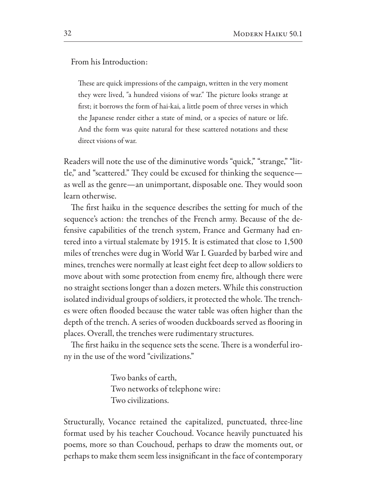From his Introduction:

These are quick impressions of the campaign, written in the very moment they were lived, "a hundred visions of war." The picture looks strange at frst; it borrows the form of hai-kai, a little poem of three verses in which the Japanese render either a state of mind, or a species of nature or life. And the form was quite natural for these scattered notations and these direct visions of war.

Readers will note the use of the diminutive words "quick," "strange," "little," and "scattered." They could be excused for thinking the sequence as well as the genre—an unimportant, disposable one. They would soon learn otherwise.

The first haiku in the sequence describes the setting for much of the sequence's action: the trenches of the French army. Because of the defensive capabilities of the trench system, France and Germany had entered into a virtual stalemate by 1915. It is estimated that close to 1,500 miles of trenches were dug in World War I. Guarded by barbed wire and mines, trenches were normally at least eight feet deep to allow soldiers to move about with some protection from enemy fre, although there were no straight sections longer than a dozen meters. While this construction isolated individual groups of soldiers, it protected the whole. The trenches were often flooded because the water table was often higher than the depth of the trench. A series of wooden duckboards served as fooring in places. Overall, the trenches were rudimentary structures.

The first haiku in the sequence sets the scene. There is a wonderful irony in the use of the word "civilizations."

> Two banks of earth, Two networks of telephone wire: Two civilizations.

Structurally, Vocance retained the capitalized, punctuated, three-line format used by his teacher Couchoud. Vocance heavily punctuated his poems, more so than Couchoud, perhaps to draw the moments out, or perhaps to make them seem less insignifcant in the face of contemporary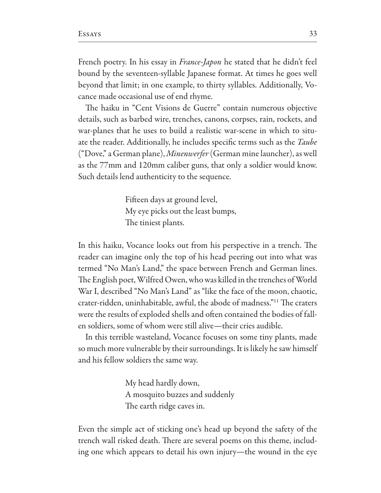French poetry. In his essay in *France-Japon* he stated that he didn't feel bound by the seventeen-syllable Japanese format. At times he goes well beyond that limit; in one example, to thirty syllables. Additionally, Vocance made occasional use of end rhyme.

The haiku in "Cent Visions de Guerre" contain numerous objective details, such as barbed wire, trenches, canons, corpses, rain, rockets, and war-planes that he uses to build a realistic war-scene in which to situate the reader. Additionally, he includes specifc terms such as the *Taube*  ("Dove," a German plane), *Minenwerfer* (German mine launcher), as well as the 77mm and 120mm caliber guns, that only a soldier would know. Such details lend authenticity to the sequence.

> Fifeen days at ground level, My eye picks out the least bumps, The tiniest plants.

In this haiku, Vocance looks out from his perspective in a trench. The reader can imagine only the top of his head peering out into what was termed "No Man's Land," the space between French and German lines. The English poet, Wilfred Owen, who was killed in the trenches of World War I, described "No Man's Land" as "like the face of the moon, chaotic, crater-ridden, uninhabitable, awful, the abode of madness."<sup>11</sup> The craters were the results of exploded shells and often contained the bodies of fallen soldiers, some of whom were still alive—their cries audible.

In this terrible wasteland, Vocance focuses on some tiny plants, made so much more vulnerable by their surroundings. It is likely he saw himself and his fellow soldiers the same way.

> My head hardly down, A mosquito buzzes and suddenly The earth ridge caves in.

Even the simple act of sticking one's head up beyond the safety of the trench wall risked death. There are several poems on this theme, including one which appears to detail his own injury—the wound in the eye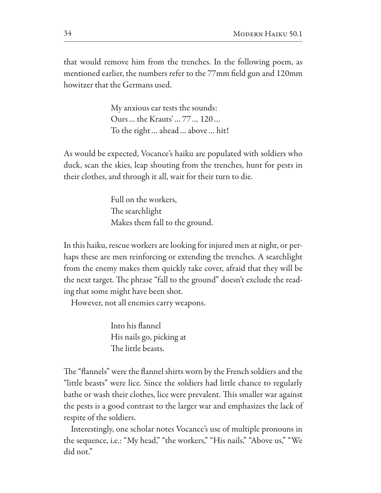that would remove him from the trenches. In the following poem, as mentioned earlier, the numbers refer to the 77mm feld gun and 120mm howitzer that the Germans used.

> My anxious ear tests the sounds: Ours... the Krauts'... 77... 120... To the right… ahead… above… hit!

As would be expected, Vocance's haiku are populated with soldiers who duck, scan the skies, leap shouting from the trenches, hunt for pests in their clothes, and through it all, wait for their turn to die.

> Full on the workers, The searchlight Makes them fall to the ground.

In this haiku, rescue workers are looking for injured men at night, or perhaps these are men reinforcing or extending the trenches. A searchlight from the enemy makes them quickly take cover, afraid that they will be the next target. The phrase "fall to the ground" doesn't exclude the reading that some might have been shot.

However, not all enemies carry weapons.

Into his fannel His nails go, picking at The little beasts.

The "flannels" were the flannel shirts worn by the French soldiers and the "little beasts" were lice. Since the soldiers had little chance to regularly bathe or wash their clothes, lice were prevalent. This smaller war against the pests is a good contrast to the larger war and emphasizes the lack of respite of the soldiers.

Interestingly, one scholar notes Vocance's use of multiple pronouns in the sequence, i.e.: "My head," "the workers," "His nails," "Above us," "We did not."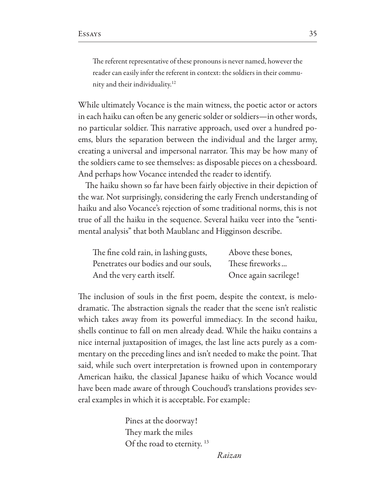The referent representative of these pronouns is never named, however the reader can easily infer the referent in context: the soldiers in their community and their individuality.12

While ultimately Vocance is the main witness, the poetic actor or actors in each haiku can often be any generic solder or soldiers—in other words, no particular soldier. This narrative approach, used over a hundred poems, blurs the separation between the individual and the larger army, creating a universal and impersonal narrator. This may be how many of the soldiers came to see themselves: as disposable pieces on a chessboard. And perhaps how Vocance intended the reader to identify.

The haiku shown so far have been fairly objective in their depiction of the war. Not surprisingly, considering the early French understanding of haiku and also Vocance's rejection of some traditional norms, this is not true of all the haiku in the sequence. Several haiku veer into the "sentimental analysis" that both Maublanc and Higginson describe.

| The fine cold rain, in lashing gusts, | Above these bones,    |
|---------------------------------------|-----------------------|
| Penetrates our bodies and our souls,  | These fireworks       |
| And the very earth itself.            | Once again sacrilege! |

The inclusion of souls in the first poem, despite the context, is melodramatic. The abstraction signals the reader that the scene isn't realistic which takes away from its powerful immediacy. In the second haiku, shells continue to fall on men already dead. While the haiku contains a nice internal juxtaposition of images, the last line acts purely as a commentary on the preceding lines and isn't needed to make the point. That said, while such overt interpretation is frowned upon in contemporary American haiku, the classical Japanese haiku of which Vocance would have been made aware of through Couchoud's translations provides several examples in which it is acceptable. For example:

> Pines at the doorway! They mark the miles Of the road to eternity.  $^{13}$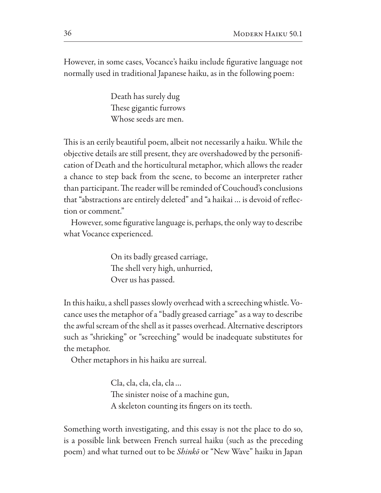However, in some cases, Vocance's haiku include fgurative language not normally used in traditional Japanese haiku, as in the following poem:

> Death has surely dug These gigantic furrows Whose seeds are men.

This is an eerily beautiful poem, albeit not necessarily a haiku. While the objective details are still present, they are overshadowed by the personifcation of Death and the horticultural metaphor, which allows the reader a chance to step back from the scene, to become an interpreter rather than participant. The reader will be reminded of Couchoud's conclusions that "abstractions are entirely deleted" and "a haikai … is devoid of refection or comment."

However, some fgurative language is, perhaps, the only way to describe what Vocance experienced.

> On its badly greased carriage, The shell very high, unhurried, Over us has passed.

In this haiku, a shell passes slowly overhead with a screeching whistle. Vocance uses the metaphor of a "badly greased carriage" as a way to describe the awful scream of the shell as it passes overhead. Alternative descriptors such as "shrieking" or "screeching" would be inadequate substitutes for the metaphor.

Other metaphors in his haiku are surreal.

Cla, cla, cla, cla, cla… The sinister noise of a machine gun, A skeleton counting its fngers on its teeth.

Something worth investigating, and this essay is not the place to do so, is a possible link between French surreal haiku (such as the preceding poem) and what turned out to be *Shink*ō or "New Wave" haiku in Japan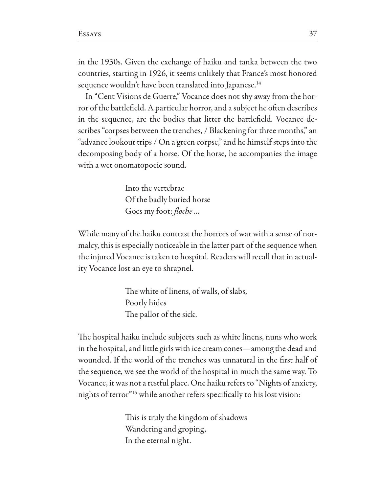in the 1930s. Given the exchange of haiku and tanka between the two countries, starting in 1926, it seems unlikely that France's most honored sequence wouldn't have been translated into Japanese.

In "Cent Visions de Guerre," Vocance does not shy away from the horror of the battlefield. A particular horror, and a subject he often describes in the sequence, are the bodies that litter the battlefeld. Vocance describes "corpses between the trenches, / Blackening for three months," an "advance lookout trips / On a green corpse," and he himself steps into the decomposing body of a horse. Of the horse, he accompanies the image with a wet onomatopoeic sound.

> Into the vertebrae Of the badly buried horse Goes my foot: f*oche*…

While many of the haiku contrast the horrors of war with a sense of normalcy, this is especially noticeable in the latter part of the sequence when the injured Vocance is taken to hospital. Readers will recall that in actuality Vocance lost an eye to shrapnel.

> The white of linens, of walls, of slabs, Poorly hides The pallor of the sick.

The hospital haiku include subjects such as white linens, nuns who work in the hospital, and little girls with ice cream cones—among the dead and wounded. If the world of the trenches was unnatural in the frst half of the sequence, we see the world of the hospital in much the same way. To Vocance, it was not a restful place. One haiku refers to "Nights of anxiety, nights of terror"15 while another refers specifcally to his lost vision:

> This is truly the kingdom of shadows Wandering and groping, In the eternal night.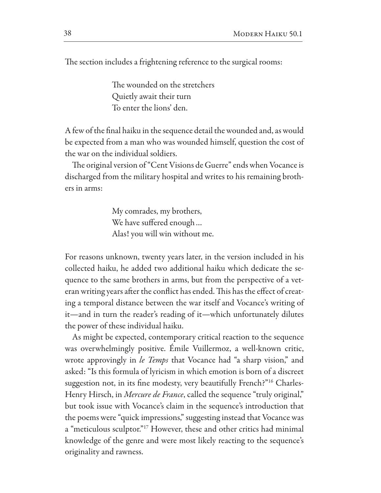The section includes a frightening reference to the surgical rooms:

The wounded on the stretchers Quietly await their turn To enter the lions' den.

A few of the fnal haiku in the sequence detail the wounded and, as would be expected from a man who was wounded himself, question the cost of the war on the individual soldiers.

The original version of "Cent Visions de Guerre" ends when Vocance is discharged from the military hospital and writes to his remaining brothers in arms:

> My comrades, my brothers, We have suffered enough... Alas! you will win without me.

For reasons unknown, twenty years later, in the version included in his collected haiku, he added two additional haiku which dedicate the sequence to the same brothers in arms, but from the perspective of a veteran writing years after the conflict has ended. This has the effect of creating a temporal distance between the war itself and Vocance's writing of it—and in turn the reader's reading of it—which unfortunately dilutes the power of these individual haiku.

As might be expected, contemporary critical reaction to the sequence was overwhelmingly positive. Émile Vuillermoz, a well-known critic, wrote approvingly in *le Temps* that Vocance had "a sharp vision," and asked: "Is this formula of lyricism in which emotion is born of a discreet suggestion not, in its fne modesty, very beautifully French?"16 Charles-Henry Hirsch, in *Mercure de France*, called the sequence "truly original," but took issue with Vocance's claim in the sequence's introduction that the poems were "quick impressions," suggesting instead that Vocance was a "meticulous sculptor."17 However, these and other critics had minimal knowledge of the genre and were most likely reacting to the sequence's originality and rawness.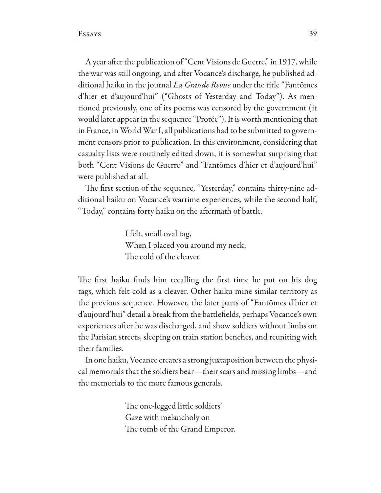A year after the publication of "Cent Visions de Guerre," in 1917, while the war was still ongoing, and afer Vocance's discharge, he published additional haiku in the journal *La Grande Revue* under the title "Fantōmes d'hier et d'aujourd'hui" ("Ghosts of Yesterday and Today"). As mentioned previously, one of its poems was censored by the government (it would later appear in the sequence "Protée"). It is worth mentioning that in France, in World War I, all publications had to be submitted to government censors prior to publication. In this environment, considering that casualty lists were routinely edited down, it is somewhat surprising that both "Cent Visions de Guerre" and "Fantōmes d'hier et d'aujourd'hui" were published at all.

The first section of the sequence, "Yesterday," contains thirty-nine additional haiku on Vocance's wartime experiences, while the second half, "Today," contains forty haiku on the afermath of battle.

> I felt, small oval tag, When I placed you around my neck, The cold of the cleaver.

The first haiku finds him recalling the first time he put on his dog tags, which felt cold as a cleaver. Other haiku mine similar territory as the previous sequence. However, the later parts of "Fantōmes d'hier et d'aujourd'hui" detail a break from the battlefelds, perhaps Vocance's own experiences after he was discharged, and show soldiers without limbs on the Parisian streets, sleeping on train station benches, and reuniting with their families.

In one haiku, Vocance creates a strong juxtaposition between the physical memorials that the soldiers bear—their scars and missing limbs—and the memorials to the more famous generals.

> The one-legged little soldiers' Gaze with melancholy on The tomb of the Grand Emperor.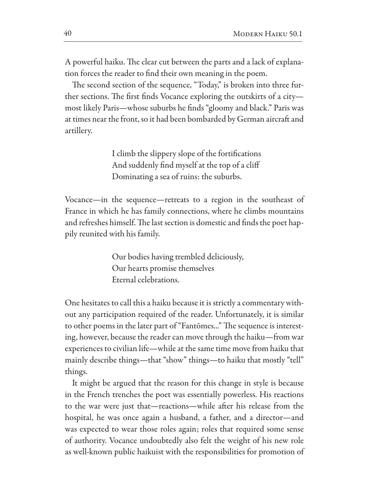A powerful haiku. The clear cut between the parts and a lack of explanation forces the reader to fnd their own meaning in the poem.

The second section of the sequence, "Today," is broken into three further sections. The first finds Vocance exploring the outskirts of a citymost likely Paris—whose suburbs he fnds "gloomy and black." Paris was at times near the front, so it had been bombarded by German aircraft and artillery.

> I climb the slippery slope of the fortifcations And suddenly fnd myself at the top of a clif Dominating a sea of ruins: the suburbs.

Vocance—in the sequence—retreats to a region in the southeast of France in which he has family connections, where he climbs mountains and refreshes himself. The last section is domestic and finds the poet happily reunited with his family.

> Our bodies having trembled deliciously, Our hearts promise themselves Eternal celebrations.

One hesitates to call this a haiku because it is strictly a commentary without any participation required of the reader. Unfortunately, it is similar to other poems in the later part of "Fantomes..." The sequence is interesting, however, because the reader can move through the haiku—from war experiences to civilian life—while at the same time move from haiku that mainly describe things—that "show" things—to haiku that mostly "tell" things.

It might be argued that the reason for this change in style is because in the French trenches the poet was essentially powerless. His reactions to the war were just that—reactions—while afer his release from the hospital, he was once again a husband, a father, and a director—and was expected to wear those roles again; roles that required some sense of authority. Vocance undoubtedly also felt the weight of his new role as well-known public haikuist with the responsibilities for promotion of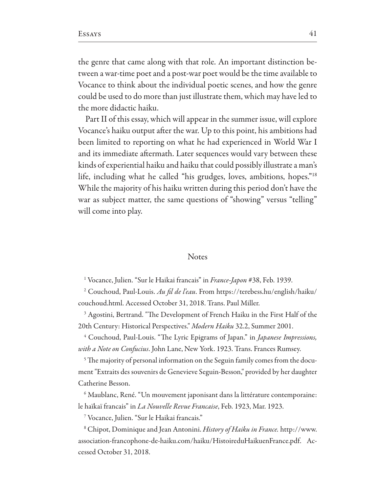the genre that came along with that role. An important distinction between a war-time poet and a post-war poet would be the time available to Vocance to think about the individual poetic scenes, and how the genre could be used to do more than just illustrate them, which may have led to the more didactic haiku.

Part II of this essay, which will appear in the summer issue, will explore Vocance's haiku output after the war. Up to this point, his ambitions had been limited to reporting on what he had experienced in World War I and its immediate afermath. Later sequences would vary between these kinds of experiential haiku and haiku that could possibly illustrate a man's life, including what he called "his grudges, loves, ambitions, hopes."18 While the majority of his haiku written during this period don't have the war as subject matter, the same questions of "showing" versus "telling" will come into play.

#### **Notes**

1 Vocance, Julien. "Sur le Haikai francais" in *France-Japon* #38, Feb. 1939.

2 Couchoud, Paul-Louis. *Au* f*l de l'eau*. From https://terebess.hu/english/haiku/ couchoud.html. Accessed October 31, 2018. Trans. Paul Miller.

<sup>3</sup> Agostini, Bertrand. "The Development of French Haiku in the First Half of the 20th Century: Historical Perspectives." *Modern Haiku* 32.2, Summer 2001.

<sup>4</sup> Couchoud, Paul-Louis. "The Lyric Epigrams of Japan." in *Japanese Impressions*, *with a Note on Confucius*. John Lane, New York. 1923. Trans. Frances Rumsey.

<sup>5</sup> The majority of personal information on the Seguin family comes from the document "Extraits des souvenirs de Genevieve Seguin-Besson," provided by her daughter Catherine Besson.

6 Maublanc, René. "Un mouvement japonisant dans la littérature contemporaine: le haïkaï francais" in *La Nouvelle Revue Francaise*, Feb. 1923, Mar. 1923.

7 Vocance, Julien. "Sur le Haikai francais."

<sup>8</sup> Chipot, Dominique and Jean Antonini. *History of Haiku in France*. http://www. association-francophone-de-haiku.com/haiku/HistoireduHaikuenFrance.pdf. Accessed October 31, 2018.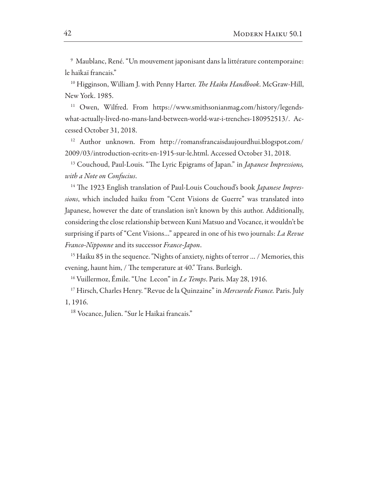9 Maublanc, René. "Un mouvement japonisant dans la littérature contemporaine: le haïkaï francais."

<sup>10</sup> Higginson, William J. with Penny Harter. *The Haiku Handbook*. McGraw-Hill, New York. 1985.

<sup>11</sup> Owen, Wilfred. From https://www.smithsonianmag.com/history/legendswhat-actually-lived-no-mans-land-between-world-war-i-trenches-180952513/. Accessed October 31, 2018.

12 Author unknown. From http://romansfrancaisdaujourdhui.blogspot.com/ 2009/03/introduction-ecrits-en-1915-sur-le.html. Accessed October 31, 2018.

<sup>13</sup> Couchoud, Paul-Louis. "The Lyric Epigrams of Japan." in *Japanese Impressions*, *with a Note on Confucius*.

<sup>14</sup> The 1923 English translation of Paul-Louis Couchoud's book *Japanese Impressions*, which included haiku from "Cent Visions de Guerre" was translated into Japanese, however the date of translation isn't known by this author. Additionally, considering the close relationship between Kuni Matsuo and Vocance, it wouldn't be surprising if parts of "Cent Visions…" appeared in one of his two journals: *La Revue Franco-Nipponne* and its successor *France-Japon*.

<sup>15</sup> Haiku 85 in the sequence. "Nights of anxiety, nights of terror ... / Memories, this evening, haunt him, / The temperature at 40." Trans. Burleigh.

16 Vuillermoz, Émile. "Une Lecon" in *Le Temps*. Paris. May 28, 1916.

17 Hirsch, Charles Henry. "Revue de la Quinzaine" in *Mercurede France.* Paris. July 1, 1916.

<sup>18</sup> Vocance, Julien. "Sur le Haikai francais."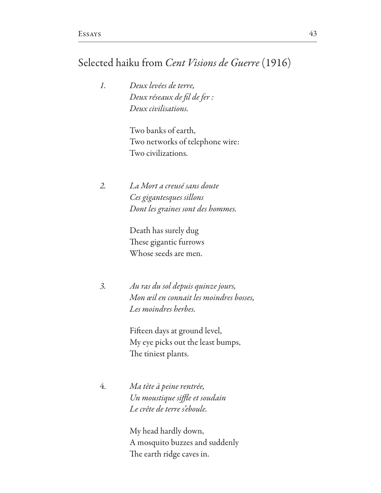## Selected haiku from *Cent Visions de Guerre* (1916)

*1. Deux levées de terre, Deux réseaux de* f*l de fer : Deux civilisations.*

> Two banks of earth, Two networks of telephone wire: Two civilizations.

*2. La Mort a creusé sans doute Ces gigantesques sillons Dont les graines sont des hommes.*

> Death has surely dug These gigantic furrows Whose seeds are men.

*3. Au ras du sol depuis quinze jours, Mon œil en connait les moindres bosses, Les moindres herbes.*

> Fifeen days at ground level, My eye picks out the least bumps, The tiniest plants.

 *Ma tète à peine rentrée, Un moustique si*f*e et soudain Le crête de terre s'eboule.*

> My head hardly down, A mosquito buzzes and suddenly The earth ridge caves in.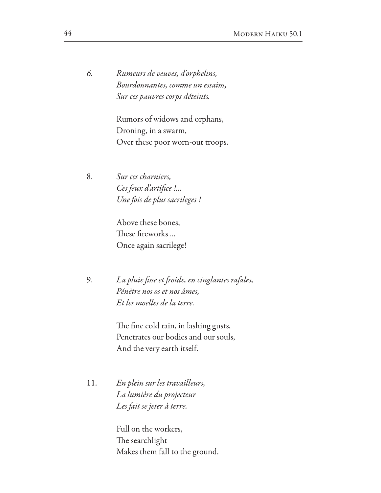*6. Rumeurs de veuves, d'orphelins, Bourdonnantes, comme un essaim, Sur ces pauvres corps déteints.*

> Rumors of widows and orphans, Droning, in a swarm, Over these poor worn-out troops.

8. *Sur ces charniers, Ces feux d'arti*f*ce !… Une fois de plus sacrileges !*

 Above these bones, These fireworks... Once again sacrilege!

> 9. *La pluie* f*ne et* f*oide, en cinglantes rafales, Pénètre nos os et nos âmes, Et les moelles de la terre.*

> > The fine cold rain, in lashing gusts, Penetrates our bodies and our souls, And the very earth itself.

11. *En plein sur les travailleurs, La lumière du projecteur Les fait se jeter à terre.*

> Full on the workers, The searchlight Makes them fall to the ground.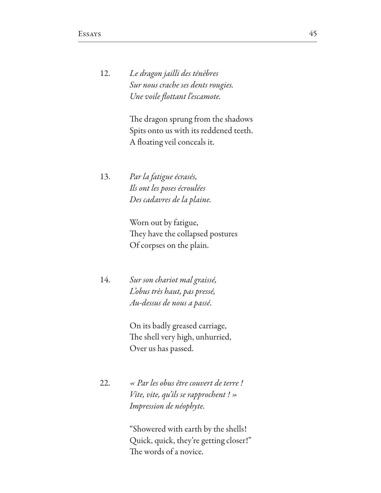12. *Le dragon jailli des ténèbres Sur nous crache ses dents rougies. Une* v*oile* f*ottant l'escamote.*

> The dragon sprung from the shadows Spits onto us with its reddened teeth. A foating veil conceals it.

13. *Par la fatigue écrasés, Ils ont les poses écroulées Des cadavres de la plaine.*

> Worn out by fatigue, They have the collapsed postures Of corpses on the plain.

 *Sur son chariot mal graissé, L'obus très haut, pas pressé, Au-dessus de nous a passé.*

> On its badly greased carriage, The shell very high, unhurried, Over us has passed.

22. *« Par les obus être couvert de terre ! Vite, vite, qu'ils se rapprochent ! » Impression de néophyte.*

> "Showered with earth by the shells! Quick, quick, they're getting closer!" The words of a novice.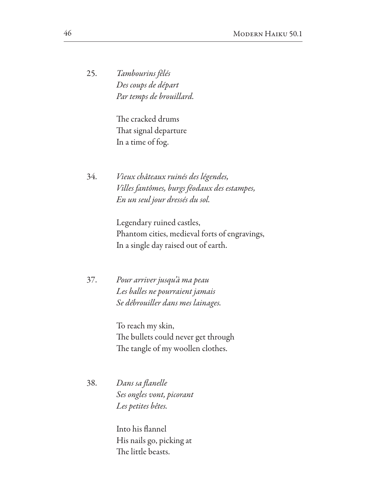25. *Tambourins fêlés Des coups de départ Par temps de brouillard.*

> The cracked drums That signal departure In a time of fog.

 *Vieux châteaux ruinés des légendes, Villes fantômes, burgs féodaux des estampes, En un seul jour dressés du sol.*

> Legendary ruined castles, Phantom cities, medieval forts of engravings, In a single day raised out of earth.

37. *Pour arriver jusqu'à ma peau Les balles ne pourraient jamais Se débrouiller dans mes lainages.*

> To reach my skin, The bullets could never get through The tangle of my woollen clothes.

38. *Dans sa* f*anelle Ses ongles* v*ont, picorant Les petites bêtes.*

> Into his fannel His nails go, picking at The little beasts.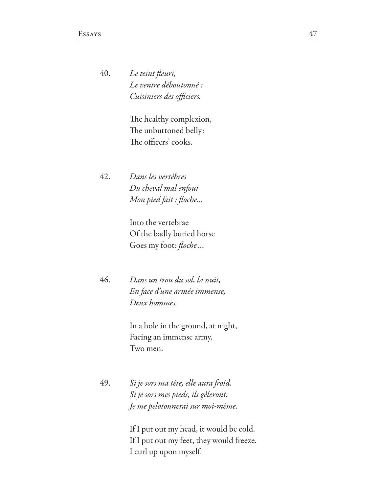*Le teint* f*euri, Le ventre déboutonné : <i>Cuisiniers des officiers.* 

> The healthy complexion, The unbuttoned belly: The officers' cooks.

 *Dans les vertèbres Du cheval mal enfoui Mon pied fait :* f*oche…*

> Into the vertebrae Of the badly buried horse Goes my foot: f*oche*…

 *Dans un trou du sol, la nuit, En face d'une armée immense, Deux hommes.*

> In a hole in the ground, at night, Facing an immense army, Two men.

 *Si je sors ma tête, elle aura* f*oid. Si je sors mes pieds, ils gèleront. Je me pelotonnerai sur moi-même.*

> If I put out my head, it would be cold. If I put out my feet, they would freeze. I curl up upon myself.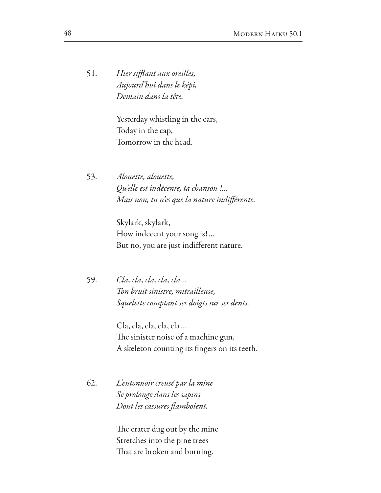51. *Hier si*f*ant aux oreilles, Aujourd'hui dans le képi, Demain dans la tête.*

> Yesterday whistling in the ears, Today in the cap, Tomorrow in the head.

53. *Alouette, alouette, Qu'elle est indécente, ta chanson !... Mais non, tu n'es que la nature indi*f*érente.*

> Skylark, skylark, How indecent your song is!... But no, you are just indiferent nature.

59. *Cla, cla, cla, cla, cla… Ton bruit sinistre, mitrailleuse, Squelette comptant ses doigts sur ses dents.*

> Cla, cla, cla, cla, cla… The sinister noise of a machine gun, A skeleton counting its fngers on its teeth.

62. *L'entonnoir creusé par la mine Se prolonge dans les sapins Dont les cassures* f*amboient.*

> The crater dug out by the mine Stretches into the pine trees That are broken and burning.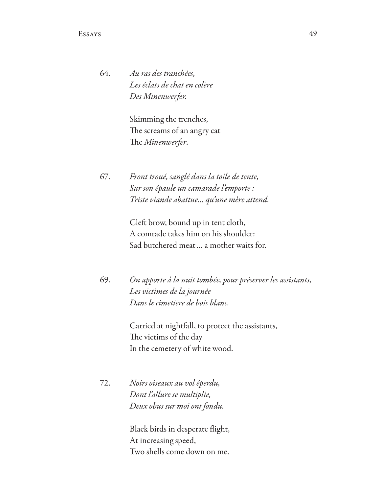*Au ras des tranchées, Les éclats de chat en colère Des Minenwerfer.*

> Skimming the trenches, The screams of an angry cat The *Minenwerfer*.

67. *Front troué, sanglé dans la toile de tente, Sur son épaule un camarade l'emporte : Triste viande abattue… qu'une mère attend.*

> Cleft brow, bound up in tent cloth, A comrade takes him on his shoulder: Sad butchered meat… a mother waits for.

69. *On apporte à la nuit tombée, pour préserver les assistants, Les victimes de la journée Dans le cimetière de bois blanc.*

> Carried at nightfall, to protect the assistants, The victims of the day In the cemetery of white wood.

72. *Noirs oiseaux au* v*ol éperdu, Dont l'allure se multiplie, Deux obus sur moi ont fondu.*

> Black birds in desperate fight, At increasing speed, Two shells come down on me.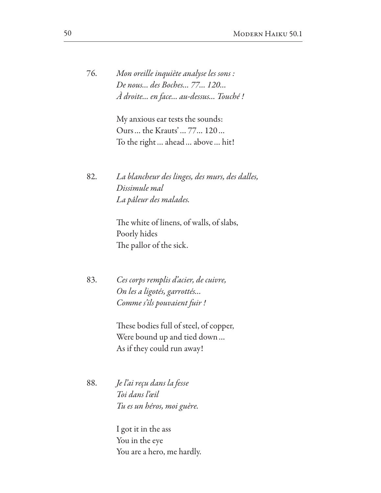76. *Mon oreille inquiète analyse les sons : De nous… des Boches… 77… 120… À droite… en face… au-dessus… Touché !*

> My anxious ear tests the sounds: Ours ... the Krauts' ... 77... 120 ... To the right… ahead… above… hit!

82. *La blancheur des linges, des murs, des dalles, Dissimule mal La pâleur des malades.*

> The white of linens, of walls, of slabs, Poorly hides The pallor of the sick.

83. *Ces corps remplis d'acier, de cuivre, On les a ligotés, garrottés… Comme s'ils pouvaient fuir !*

> These bodies full of steel, of copper, Were bound up and tied down… As if they could run away!

88. *Je l'ai reçu dans la fesse Toi dans l'œil Tu es un héros, moi guère.*

> I got it in the ass You in the eye You are a hero, me hardly.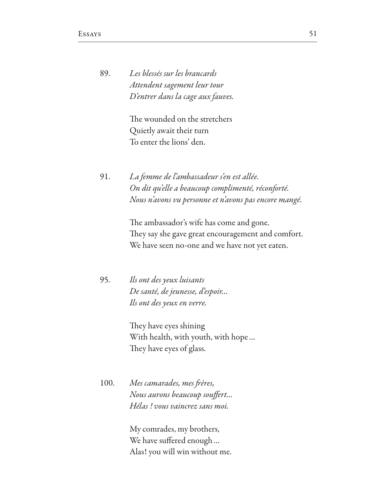| 89. | Les blessés sur les brancards     |
|-----|-----------------------------------|
|     | Attendent sagement leur tour      |
|     | D'entrer dans la cage aux fauves. |

The wounded on the stretchers Quietly await their turn To enter the lions' den.

91. *La femme de l'ambassadeur s'en est allée. On dit qu'elle a beaucoup complimenté, réconforté. Nous n'avons vu personne et n'avons pas encore mangé.*

> The ambassador's wife has come and gone. They say she gave great encouragement and comfort. We have seen no-one and we have not yet eaten.

95. *Ils ont des yeux luisants De santé, de jeunesse, d'espoir… Ils ont des yeux en verre.*

> They have eyes shining With health, with youth, with hope… They have eyes of glass.

100. *Mes camarades, mes* f*ères, Nous aurons beaucoup sou*f*ert… Hélas !* v*ous vaincrez sans moi.*

> My comrades, my brothers, We have suffered enough ... Alas! you will win without me.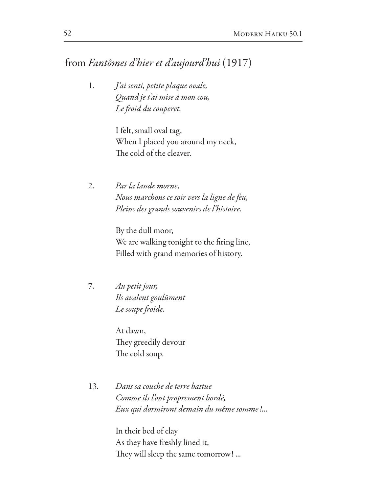# from *Fantômes d'hier et d'aujourd'hui* (1917)

1. *J'ai senti, petite plaque ovale, Quand je t'ai mise à mon cou, Le* f*oid du couperet.*

> I felt, small oval tag, When I placed you around my neck, The cold of the cleaver.

2. *Par la lande morne, Nous marchons ce soir vers la ligne de feu, Pleins des grands souvenirs de l'histoire.*

> By the dull moor, We are walking tonight to the firing line, Filled with grand memories of history.

7. *Au petit jour, Ils avalent goul*ū*ment Le soupe* f*oide.*

> At dawn, They greedily devour The cold soup.

13. *Dans sa couche de terre battue Comme ils l'ont proprement bordé, Eux qui dormiront demain du même somme!...*

> In their bed of clay As they have freshly lined it, They will sleep the same tomorrow! ...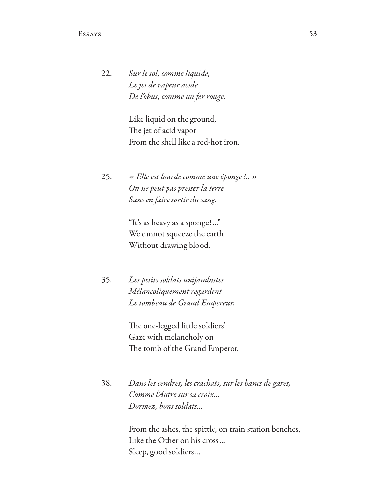22. *Sur le sol, comme liquide, Le jet de vapeur acide De l'obus, comme un fer rouge.*

> Like liquid on the ground, The jet of acid vapor From the shell like a red-hot iron.

25. *« Elle est lourde comme une éponge!.. » On ne peut pas presser la terre Sans en faire sortir du sang.*

> "It's as heavy as a sponge!..." We cannot squeeze the earth Without drawing blood.

35. *Les petits soldats unijambistes Mélancoliquement regardent Le tombeau de Grand Empereur.*

> The one-legged little soldiers' Gaze with melancholy on The tomb of the Grand Emperor.

38. *Dans les cendres, les crachats, sur les bancs de gares, Comme l'Autre sur sa croix… Dormez, bons soldats…*

> From the ashes, the spittle, on train station benches, Like the Other on his cross... Sleep, good soldiers...